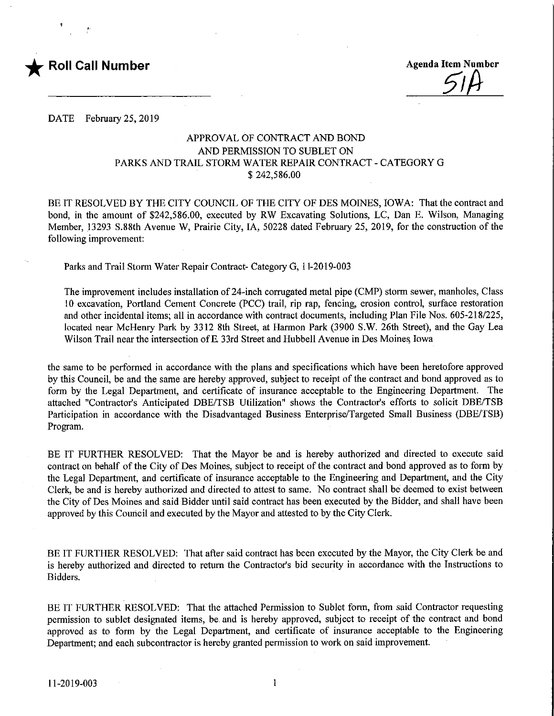

 $51A$ 

DATE February 25, 2019

## APPROVAL OF CONTRACT AND BOND AND PERMISSION TO SUBLET ON PARKS AND TRAIL STORM WATER REPAIR CONTRACT - CATEGORY G \$ 242,586.00

BE IT RESOLVED BY THE CITY COUNCIL OF THE CITY OF DES MOINES, IOWA: That the contract and bond, in the amount of \$242,586.00, executed by RW Excavating Solutions, LC, Dan E. Wilson, Managing Member, 13293 S.88th Avenue W, Prairie City, IA, 50228 dated February 25, 2019, for the construction of the following improvement:

Parks and Trail Storm Water Repair Contract- Category G, 1 1-2019-003

The improvement includes installation of24-inch corrugated metal pipe (CMP) storm sewer, manholes. Class 10 excavation, Portland Cement Concrete (PCC) trail, rip rap, fencing, erosion control, surface restoration and other incidental items; all in accordance with contract documents, including Plan File Nos. 605-218/225, located near McHenry Park by 3312 8th Street, at Harmon Park (3900 S.W. 26th Street), and the Gay Lea Wilson Trail near the intersection of E 33rd Street and Hubbell Avenue in Des Moines Iowa

the same to be performed in accordance with the plans and specifications which have been heretofore approved by this Council, be and the same are hereby approved, subject to receipt of the contract and bond approved as to form by the Legal Department, and certificate of insurance acceptable to the Engineering Department. The attached "Contractor's Anticipated DBE/TSB Utilization" shows the Contractor's efforts to solicit DBE/TSB Participation in accordance with the Disadvantaged Business Enterprise/Targeted Small Business (DBE/TSB) Program.

BE IT FURTHER RESOLVED: That the Mayor be and is hereby authorized and directed to execute said contract on behalf of the City of Des Moines, subject to receipt of the contract and bond approved as to form by the Legal Department, and certificate of insurance acceptable to the Engmeering and Department, and the City Clerk, be and is hereby authorized and directed to attest to same. No contract shall be deemed to exist between the City of Des Moines and said Bidder until said contract has been executed by the Bidder, and shall have been approved by this Council and executed by the Mayor and attested to by the City Clerk.

BE IT FURTHER RESOLVED: That after said contract has been executed by the Mayor, the City Clerk be and is hereby authorized and directed to return the Contractor's bid security in accordance with the Instructions to Bidders.

BE IT FURTHER RESOLVED: That the attached Permission to Sublet form, from said Contractor requesting permission to sublet designated items, be and is hereby approved, subject to receipt of the contract and bond approved as to form by the Legal Department, and certificate of insurance acceptable to the Engineering Department; and each subcontractor is hereby granted permission to work on said improvement.

 $\mathbf{1}$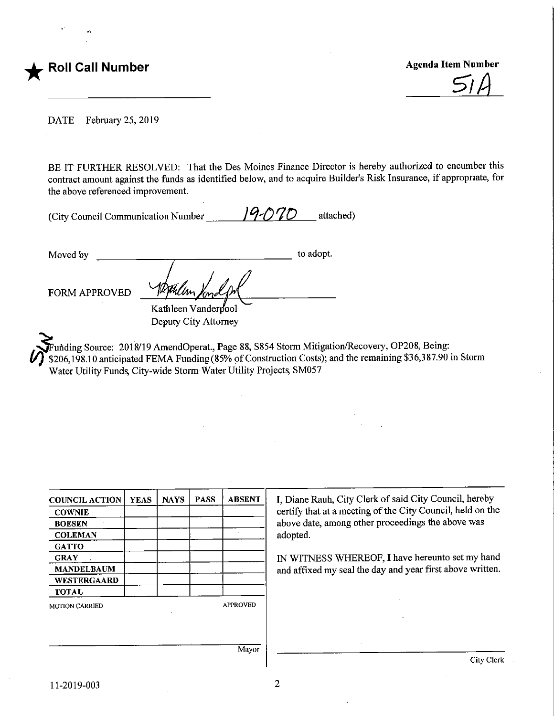

 $51A$ 

DATE February 25, 2019

BE IT FURTHER RESOLVED: That the Des Moines Finance Director is hereby authorized to encumber this contract amount against the funds as identified below, and to acquire Builder's Risk Insurance, if appropriate, for the above referenced improvement.

| (City Council Communication Number | 19.070 | attached) |
|------------------------------------|--------|-----------|
|------------------------------------|--------|-----------|

Moved by FORM APPROVED to adopt. Kathleen Vanderbool Deputy City Attorney

Funding Source: 2018/19 AmendOperat., Page 88, S854 Storm Mitigation/Recovery, OP208, Being: \$206,198.10 anticipated FEMA Funding (85% of Construction Costs); and the remaining \$36,387.90 in Storm Water Utility Funds City-wide Storm Water Utility Projects, SM057

| <b>COUNCIL ACTION</b> | <b>YEAS</b> | <b>NAYS</b> | <b>PASS</b> | <b>ABSENT</b>   | I, Diane Rauh, City Clerk of said City Council, hereby     |  |
|-----------------------|-------------|-------------|-------------|-----------------|------------------------------------------------------------|--|
| <b>COWNIE</b>         |             |             |             |                 | certify that at a meeting of the City Council, held on the |  |
| <b>BOESEN</b>         |             |             |             |                 | above date, among other proceedings the above was          |  |
| <b>COLEMAN</b>        |             |             |             |                 | adopted.                                                   |  |
| <b>GATTO</b>          |             |             |             |                 |                                                            |  |
| <b>GRAY</b>           |             |             |             |                 | IN WITNESS WHEREOF, I have hereunto set my hand            |  |
| <b>MANDELBAUM</b>     |             |             |             |                 | and affixed my seal the day and year first above written.  |  |
| <b>WESTERGAARD</b>    |             |             |             |                 |                                                            |  |
| <b>TOTAL</b>          |             |             |             |                 |                                                            |  |
| <b>MOTION CARRIED</b> |             |             |             | <b>APPROVED</b> |                                                            |  |
|                       |             |             |             |                 |                                                            |  |
|                       |             |             |             |                 |                                                            |  |
|                       |             |             |             |                 |                                                            |  |
|                       |             |             |             | Mayor           |                                                            |  |
|                       |             |             |             |                 | City Clerk                                                 |  |

 $\overline{2}$